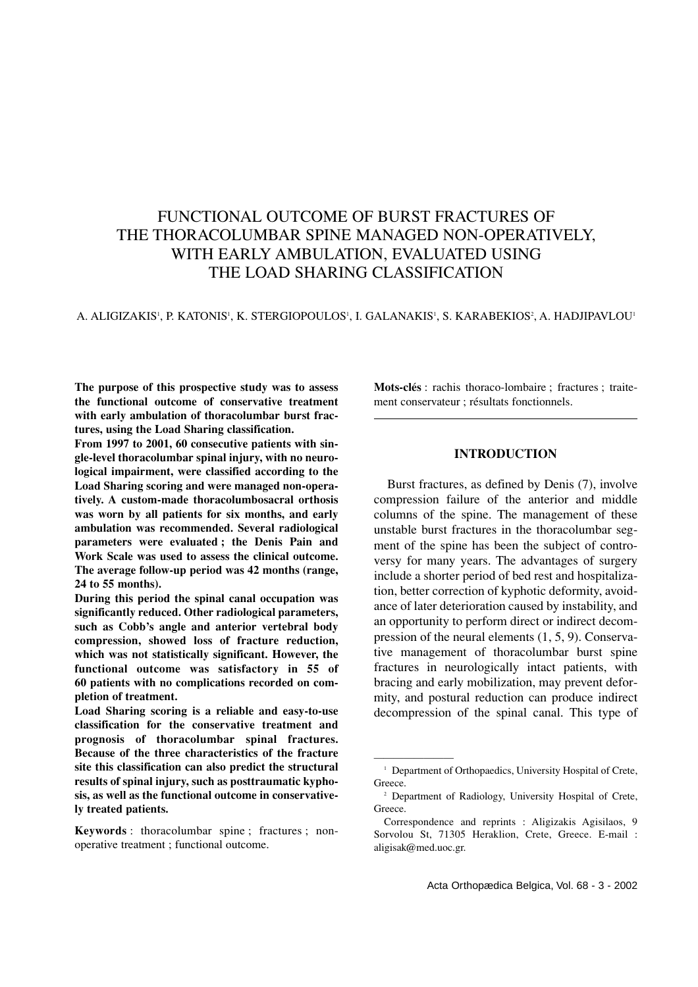# FUNCTIONAL OUTCOME OF BURST FRACTURES OF THE THORACOLUMBAR SPINE MANAGED NON-OPERATIVELY, WITH EARLY AMBULATION, EVALUATED USING THE LOAD SHARING CLASSIFICATION

#### A. ALIGIZAKIS', P. KATONIS', K. STERGIOPOULOS', I. GALANAKIS', S. KARABEKIOS', A. HADJIPAVLOU'

**The purpose of this prospective study was to assess the functional outcome of conservative treatment with early ambulation of thoracolumbar burst fractures, using the Load Sharing classification.**

**From 1997 to 2001, 60 consecutive patients with single-level thoracolumbar spinal injury, with no neurological impairment, were classified according to the Load Sharing scoring and were managed non-operatively. A custom-made thoracolumbosacral orthosis was worn by all patients for six months, and early ambulation was recommended. Several radiological parameters were evaluated ; the Denis Pain and Work Scale was used to assess the clinical outcome. The average follow-up period was 42 months (range, 24 to 55 months).**

**During this period the spinal canal occupation was significantly reduced. Other radiological parameters, such as Cobb's angle and anterior vertebral body compression, showed loss of fracture reduction, which was not statistically significant. However, the functional outcome was satisfactory in 55 of 60 patients with no complications recorded on completion of treatment.** 

**Load Sharing scoring is a reliable and easy-to-use classification for the conservative treatment and prognosis of thoracolumbar spinal fractures. Because of the three characteristics of the fracture site this classification can also predict the structural results of spinal injury, such as posttraumatic kyphosis, as well as the functional outcome in conservatively treated patients.** 

**Keywords** : thoracolumbar spine ; fractures ; nonoperative treatment ; functional outcome.

**Mots-clés** : rachis thoraco-lombaire ; fractures ; traitement conservateur ; résultats fonctionnels.

# **INTRODUCTION**

Burst fractures, as defined by Denis (7), involve compression failure of the anterior and middle columns of the spine. The management of these unstable burst fractures in the thoracolumbar segment of the spine has been the subject of controversy for many years. The advantages of surgery include a shorter period of bed rest and hospitalization, better correction of kyphotic deformity, avoidance of later deterioration caused by instability, and an opportunity to perform direct or indirect decompression of the neural elements (1, 5, 9). Conservative management of thoracolumbar burst spine fractures in neurologically intact patients, with bracing and early mobilization, may prevent deformity, and postural reduction can produce indirect decompression of the spinal canal. This type of

————————

<sup>&</sup>lt;sup>1</sup> Department of Orthopaedics, University Hospital of Crete, Greece.

<sup>2</sup> Department of Radiology, University Hospital of Crete, Greece.

Correspondence and reprints : Aligizakis Agisilaos, 9 Sorvolou St, 71305 Heraklion, Crete, Greece. E-mail : aligisak@med.uoc.gr.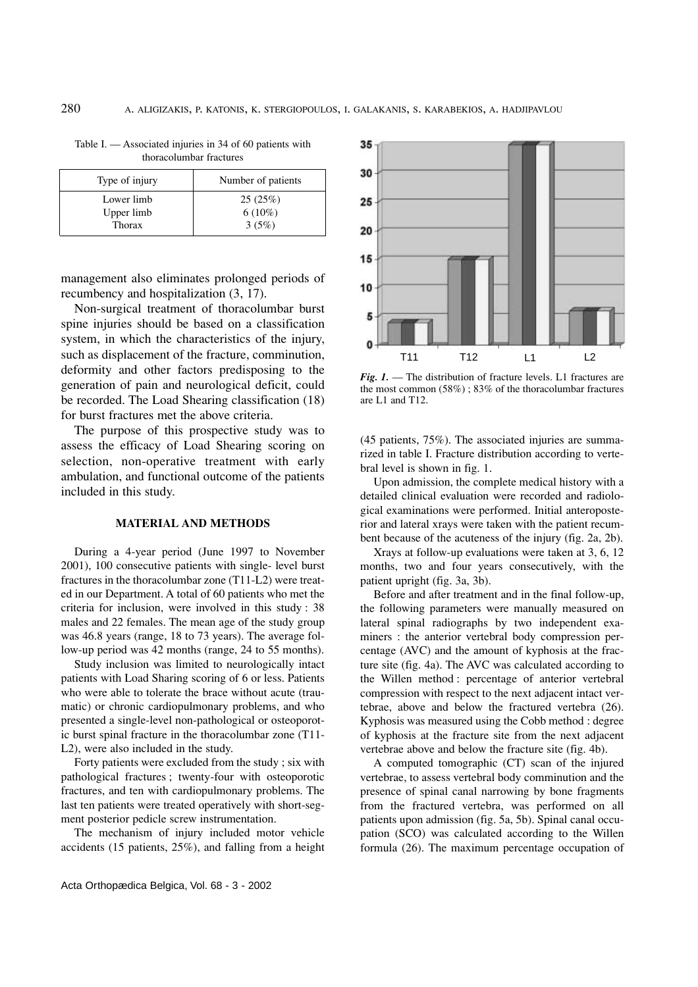| Type of injury | Number of patients |  |
|----------------|--------------------|--|
| Lower limb     | 25(25%)            |  |
| Upper limb     | $6(10\%)$          |  |
| Thorax         | 3(5%)              |  |

Table I. — Associated injuries in 34 of 60 patients with thoracolumbar fractures

management also eliminates prolonged periods of recumbency and hospitalization (3, 17).

Non-surgical treatment of thoracolumbar burst spine injuries should be based on a classification system, in which the characteristics of the injury, such as displacement of the fracture, comminution, deformity and other factors predisposing to the generation of pain and neurological deficit, could be recorded. The Load Shearing classification (18) for burst fractures met the above criteria.

The purpose of this prospective study was to assess the efficacy of Load Shearing scoring on selection, non-operative treatment with early ambulation, and functional outcome of the patients included in this study.

#### **MATERIAL AND METHODS**

During a 4-year period (June 1997 to November 2001), 100 consecutive patients with single- level burst fractures in the thoracolumbar zone (T11-L2) were treated in our Department. A total of 60 patients who met the criteria for inclusion, were involved in this study : 38 males and 22 females. The mean age of the study group was 46.8 years (range, 18 to 73 years). The average follow-up period was 42 months (range, 24 to 55 months).

Study inclusion was limited to neurologically intact patients with Load Sharing scoring of 6 or less. Patients who were able to tolerate the brace without acute (traumatic) or chronic cardiopulmonary problems, and who presented a single-level non-pathological or osteoporotic burst spinal fracture in the thoracolumbar zone (T11- L2), were also included in the study.

Forty patients were excluded from the study ; six with pathological fractures ; twenty-four with osteoporotic fractures, and ten with cardiopulmonary problems. The last ten patients were treated operatively with short-segment posterior pedicle screw instrumentation.

The mechanism of injury included motor vehicle accidents (15 patients, 25%), and falling from a height



*Fig. 1.* — The distribution of fracture levels. L1 fractures are the most common (58%) ; 83% of the thoracolumbar fractures are L1 and T12.

(45 patients, 75%). The associated injuries are summarized in table I. Fracture distribution according to vertebral level is shown in fig. 1.

Upon admission, the complete medical history with a detailed clinical evaluation were recorded and radiological examinations were performed. Initial anteroposterior and lateral xrays were taken with the patient recumbent because of the acuteness of the injury (fig. 2a, 2b).

Xrays at follow-up evaluations were taken at 3, 6, 12 months, two and four years consecutively, with the patient upright (fig. 3a, 3b).

Before and after treatment and in the final follow-up, the following parameters were manually measured on lateral spinal radiographs by two independent examiners : the anterior vertebral body compression percentage (AVC) and the amount of kyphosis at the fracture site (fig. 4a). The AVC was calculated according to the Willen method : percentage of anterior vertebral compression with respect to the next adjacent intact vertebrae, above and below the fractured vertebra (26). Kyphosis was measured using the Cobb method : degree of kyphosis at the fracture site from the next adjacent vertebrae above and below the fracture site (fig. 4b).

A computed tomographic (CT) scan of the injured vertebrae, to assess vertebral body comminution and the presence of spinal canal narrowing by bone fragments from the fractured vertebra, was performed on all patients upon admission (fig. 5a, 5b). Spinal canal occupation (SCO) was calculated according to the Willen formula (26). The maximum percentage occupation of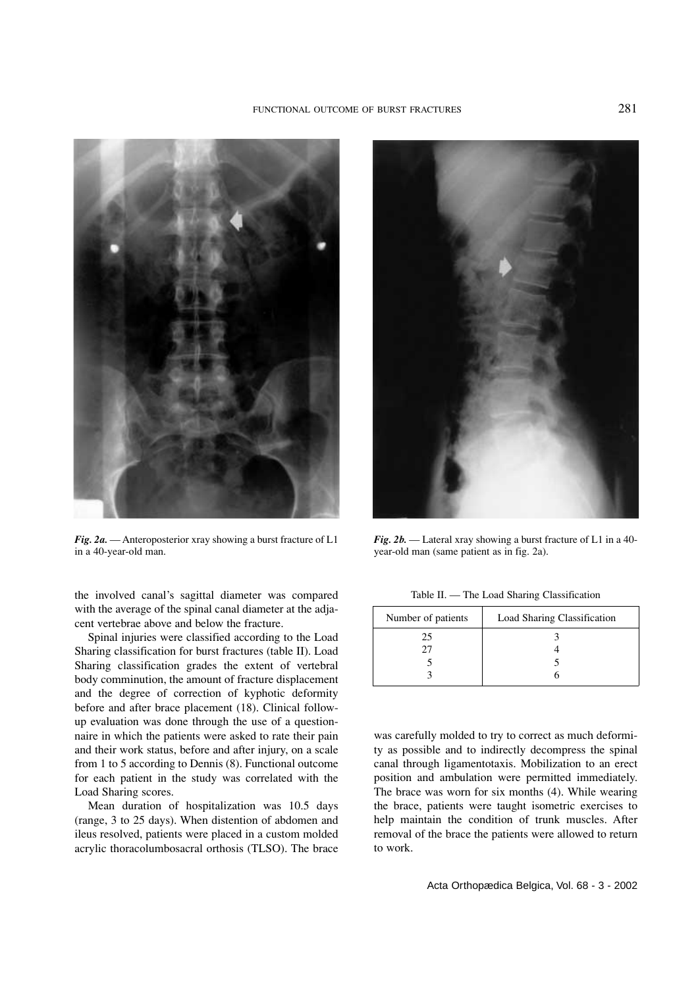

*Fig. 2a.* — Anteroposterior xray showing a burst fracture of L1 in a 40-year-old man.

the involved canal's sagittal diameter was compared with the average of the spinal canal diameter at the adjacent vertebrae above and below the fracture.

Spinal injuries were classified according to the Load Sharing classification for burst fractures (table II). Load Sharing classification grades the extent of vertebral body comminution, the amount of fracture displacement and the degree of correction of kyphotic deformity before and after brace placement (18). Clinical followup evaluation was done through the use of a questionnaire in which the patients were asked to rate their pain and their work status, before and after injury, on a scale from 1 to 5 according to Dennis (8). Functional outcome for each patient in the study was correlated with the Load Sharing scores.

Mean duration of hospitalization was 10.5 days (range, 3 to 25 days). When distention of abdomen and ileus resolved, patients were placed in a custom molded acrylic thoracolumbosacral orthosis (TLSO). The brace



*Fig. 2b.* — Lateral xray showing a burst fracture of L1 in a 40 year-old man (same patient as in fig. 2a).

Table II. — The Load Sharing Classification

| Number of patients | Load Sharing Classification |  |
|--------------------|-----------------------------|--|
| 25                 |                             |  |
| $\mathcal{Y}$      |                             |  |
|                    |                             |  |
|                    |                             |  |

was carefully molded to try to correct as much deformity as possible and to indirectly decompress the spinal canal through ligamentotaxis. Mobilization to an erect position and ambulation were permitted immediately. The brace was worn for six months (4). While wearing the brace, patients were taught isometric exercises to help maintain the condition of trunk muscles. After removal of the brace the patients were allowed to return to work.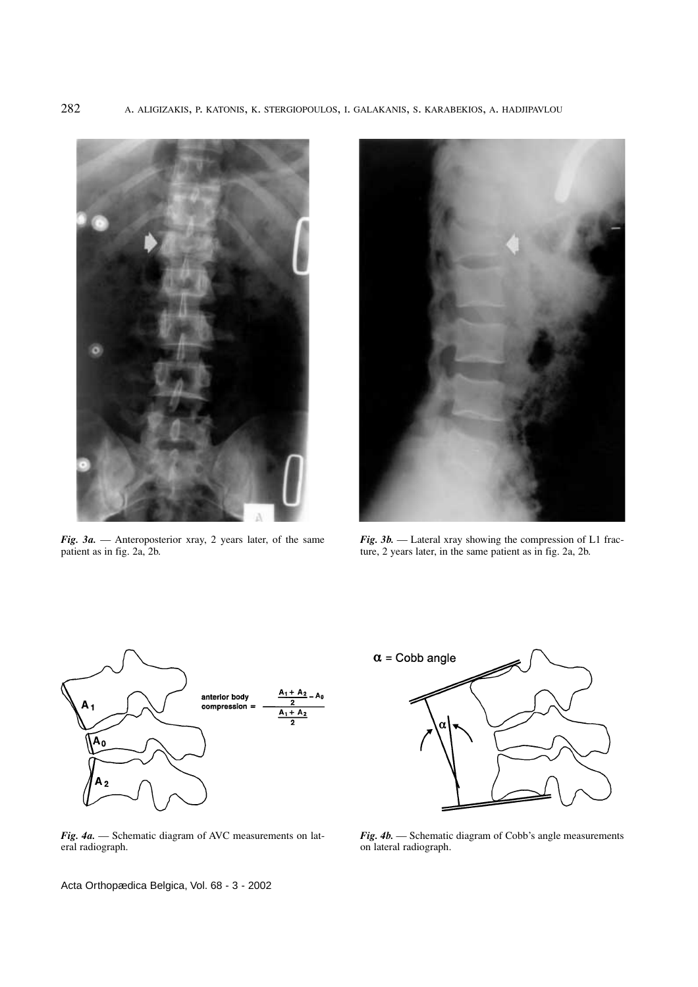

*Fig. 3a.* — Anteroposterior xray, 2 years later, of the same patient as in fig. 2a, 2b.



*Fig. 3b.* — Lateral xray showing the compression of L1 fracture, 2 years later, in the same patient as in fig. 2a, 2b.



*Fig. 4a.* — Schematic diagram of AVC measurements on lateral radiograph.

Acta Orthopædica Belgica, Vol. 68 - 3 - 2002



*Fig. 4b.* — Schematic diagram of Cobb's angle measurements on lateral radiograph.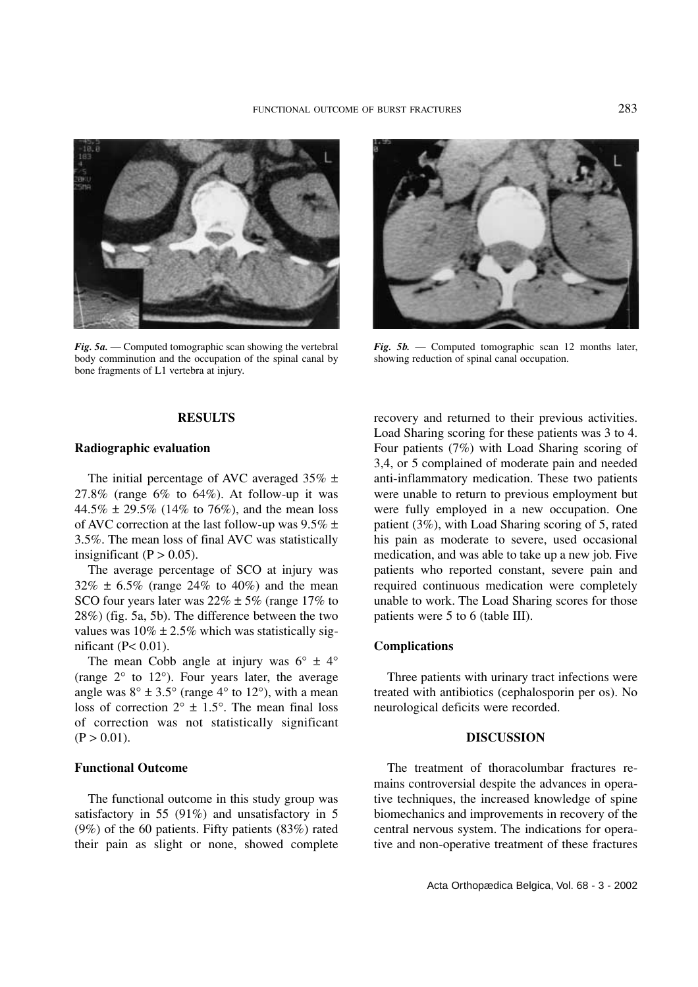

*Fig. 5a.* — Computed tomographic scan showing the vertebral body comminution and the occupation of the spinal canal by bone fragments of L1 vertebra at injury.

*Fig. 5b.* — Computed tomographic scan 12 months later, showing reduction of spinal canal occupation.

# **RESULTS**

# **Radiographic evaluation**

The initial percentage of AVC averaged  $35\% \pm$ 27.8% (range  $6\%$  to  $64\%$ ). At follow-up it was 44.5%  $\pm$  29.5% (14% to 76%), and the mean loss of AVC correction at the last follow-up was  $9.5\% \pm$ 3.5%. The mean loss of final AVC was statistically insignificant ( $P > 0.05$ ).

The average percentage of SCO at injury was  $32\% \pm 6.5\%$  (range 24% to 40%) and the mean SCO four years later was  $22\% \pm 5\%$  (range 17% to 28%) (fig. 5a, 5b). The difference between the two values was  $10\% \pm 2.5\%$  which was statistically significant ( $P < 0.01$ ).

The mean Cobb angle at injury was  $6^{\circ} \pm 4^{\circ}$ (range  $2^{\circ}$  to  $12^{\circ}$ ). Four years later, the average angle was  $8^{\circ} \pm 3.5^{\circ}$  (range  $4^{\circ}$  to  $12^{\circ}$ ), with a mean loss of correction  $2^{\circ} \pm 1.5^{\circ}$ . The mean final loss of correction was not statistically significant  $(P > 0.01)$ .

# **Functional Outcome**

The functional outcome in this study group was satisfactory in 55 (91%) and unsatisfactory in 5 (9%) of the 60 patients. Fifty patients (83%) rated their pain as slight or none, showed complete

recovery and returned to their previous activities. Load Sharing scoring for these patients was 3 to 4. Four patients (7%) with Load Sharing scoring of 3,4, or 5 complained of moderate pain and needed anti-inflammatory medication. These two patients were unable to return to previous employment but were fully employed in a new occupation. One patient (3%), with Load Sharing scoring of 5, rated his pain as moderate to severe, used occasional medication, and was able to take up a new job. Five patients who reported constant, severe pain and required continuous medication were completely unable to work. The Load Sharing scores for those patients were 5 to 6 (table III).

# **Complications**

Three patients with urinary tract infections were treated with antibiotics (cephalosporin per os). No neurological deficits were recorded.

# **DISCUSSION**

The treatment of thoracolumbar fractures remains controversial despite the advances in operative techniques, the increased knowledge of spine biomechanics and improvements in recovery of the central nervous system. The indications for operative and non-operative treatment of these fractures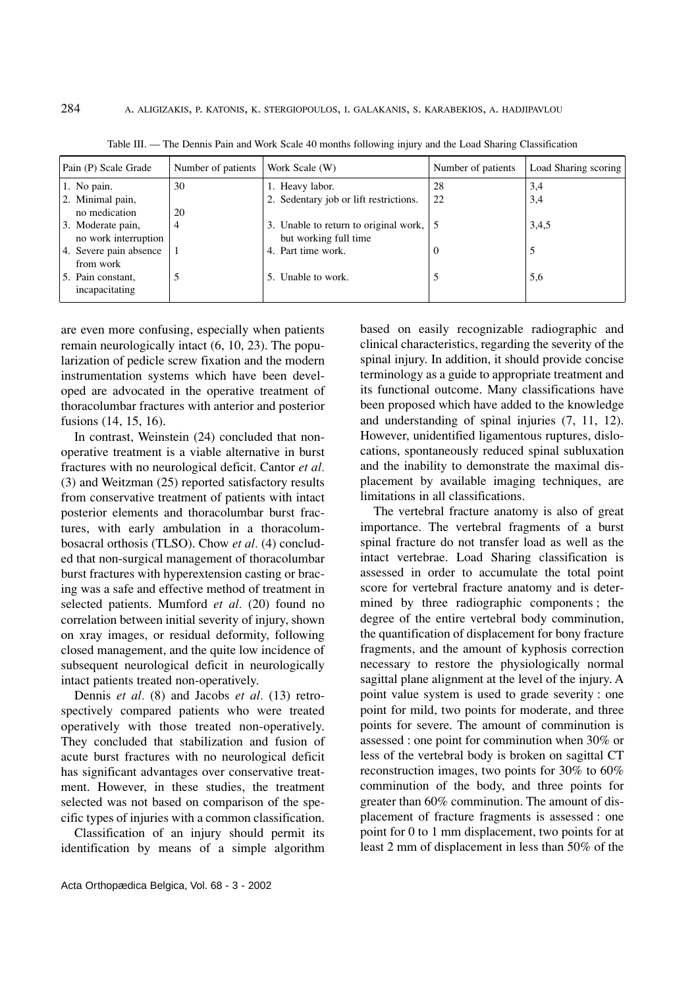| Pain (P) Scale Grade                      | Number of patients | Work Scale (W)                                                 | Number of patients | Load Sharing scoring |
|-------------------------------------------|--------------------|----------------------------------------------------------------|--------------------|----------------------|
| 1. No pain.                               | 30                 | 1. Heavy labor.                                                | 28                 | 3,4                  |
| 2. Minimal pain,                          |                    | 2. Sedentary job or lift restrictions.                         | 22                 | 3,4                  |
| no medication                             | 20                 |                                                                |                    |                      |
| 3. Moderate pain,<br>no work interruption | 4                  | 3. Unable to return to original work,<br>but working full time |                    | 3,4,5                |
| 4. Severe pain absence<br>from work       |                    | 4. Part time work.                                             | $\theta$           |                      |
| 5. Pain constant,<br>incapacitating       |                    | 5. Unable to work.                                             |                    | 5,6                  |

Table III. — The Dennis Pain and Work Scale 40 months following injury and the Load Sharing Classification

are even more confusing, especially when patients remain neurologically intact (6, 10, 23). The popularization of pedicle screw fixation and the modern instrumentation systems which have been developed are advocated in the operative treatment of thoracolumbar fractures with anterior and posterior fusions (14, 15, 16).

In contrast, Weinstein (24) concluded that nonoperative treatment is a viable alternative in burst fractures with no neurological deficit. Cantor *et al.* (3) and Weitzman (25) reported satisfactory results from conservative treatment of patients with intact posterior elements and thoracolumbar burst fractures, with early ambulation in a thoracolumbosacral orthosis (TLSO). Chow *et al.* (4) concluded that non-surgical management of thoracolumbar burst fractures with hyperextension casting or bracing was a safe and effective method of treatment in selected patients. Mumford *et al.* (20) found no correlation between initial severity of injury, shown on xray images, or residual deformity, following closed management, and the quite low incidence of subsequent neurological deficit in neurologically intact patients treated non-operatively.

Dennis *et al.* (8) and Jacobs *et al.* (13) retrospectively compared patients who were treated operatively with those treated non-operatively. They concluded that stabilization and fusion of acute burst fractures with no neurological deficit has significant advantages over conservative treatment. However, in these studies, the treatment selected was not based on comparison of the specific types of injuries with a common classification.

Classification of an injury should permit its identification by means of a simple algorithm

based on easily recognizable radiographic and clinical characteristics, regarding the severity of the spinal injury. In addition, it should provide concise terminology as a guide to appropriate treatment and its functional outcome. Many classifications have been proposed which have added to the knowledge and understanding of spinal injuries (7, 11, 12). However, unidentified ligamentous ruptures, dislocations, spontaneously reduced spinal subluxation and the inability to demonstrate the maximal displacement by available imaging techniques, are limitations in all classifications.

The vertebral fracture anatomy is also of great importance. The vertebral fragments of a burst spinal fracture do not transfer load as well as the intact vertebrae. Load Sharing classification is assessed in order to accumulate the total point score for vertebral fracture anatomy and is determined by three radiographic components ; the degree of the entire vertebral body comminution, the quantification of displacement for bony fracture fragments, and the amount of kyphosis correction necessary to restore the physiologically normal sagittal plane alignment at the level of the injury. A point value system is used to grade severity : one point for mild, two points for moderate, and three points for severe. The amount of comminution is assessed : one point for comminution when 30% or less of the vertebral body is broken on sagittal CT reconstruction images, two points for 30% to 60% comminution of the body, and three points for greater than 60% comminution. The amount of displacement of fracture fragments is assessed : one point for 0 to 1 mm displacement, two points for at least 2 mm of displacement in less than 50% of the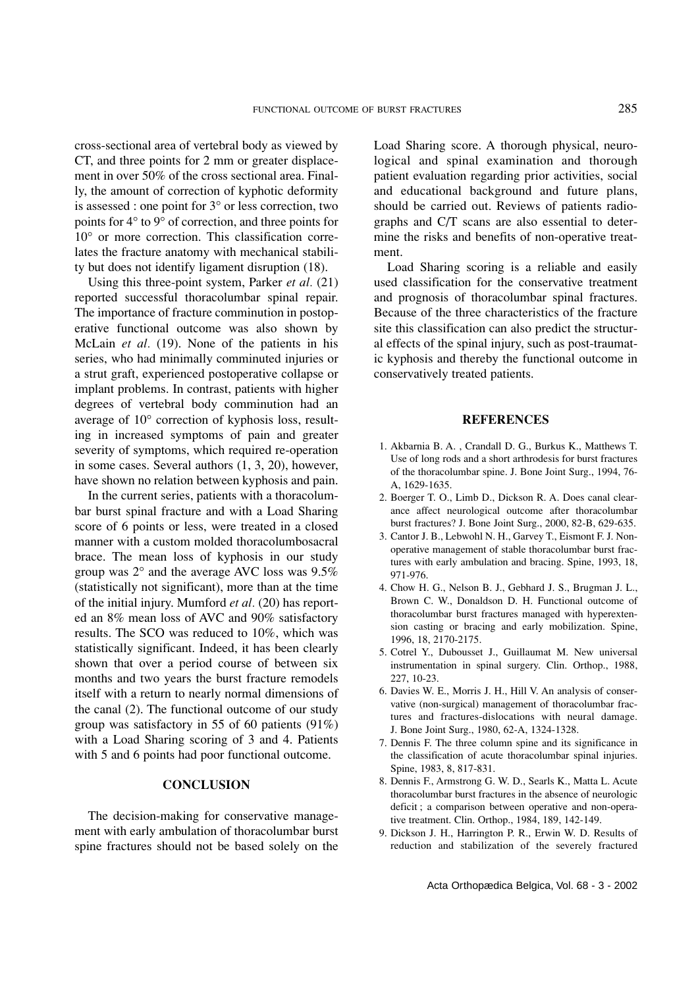cross-sectional area of vertebral body as viewed by CT, and three points for 2 mm or greater displacement in over 50% of the cross sectional area. Finally, the amount of correction of kyphotic deformity is assessed : one point for 3° or less correction, two points for 4° to 9° of correction, and three points for 10° or more correction. This classification correlates the fracture anatomy with mechanical stability but does not identify ligament disruption (18).

Using this three-point system, Parker *et al.* (21) reported successful thoracolumbar spinal repair. The importance of fracture comminution in postoperative functional outcome was also shown by McLain *et al.* (19). None of the patients in his series, who had minimally comminuted injuries or a strut graft, experienced postoperative collapse or implant problems. In contrast, patients with higher degrees of vertebral body comminution had an average of 10° correction of kyphosis loss, resulting in increased symptoms of pain and greater severity of symptoms, which required re-operation in some cases. Several authors (1, 3, 20), however, have shown no relation between kyphosis and pain.

In the current series, patients with a thoracolumbar burst spinal fracture and with a Load Sharing score of 6 points or less, were treated in a closed manner with a custom molded thoracolumbosacral brace. The mean loss of kyphosis in our study group was 2° and the average AVC loss was 9.5% (statistically not significant), more than at the time of the initial injury. Mumford *et al.* (20) has reported an 8% mean loss of AVC and 90% satisfactory results. The SCO was reduced to 10%, which was statistically significant. Indeed, it has been clearly shown that over a period course of between six months and two years the burst fracture remodels itself with a return to nearly normal dimensions of the canal (2). The functional outcome of our study group was satisfactory in 55 of 60 patients (91%) with a Load Sharing scoring of 3 and 4. Patients with 5 and 6 points had poor functional outcome.

#### **CONCLUSION**

The decision-making for conservative management with early ambulation of thoracolumbar burst spine fractures should not be based solely on the

Load Sharing score. A thorough physical, neurological and spinal examination and thorough patient evaluation regarding prior activities, social and educational background and future plans, should be carried out. Reviews of patients radiographs and C/T scans are also essential to determine the risks and benefits of non-operative treatment.

Load Sharing scoring is a reliable and easily used classification for the conservative treatment and prognosis of thoracolumbar spinal fractures. Because of the three characteristics of the fracture site this classification can also predict the structural effects of the spinal injury, such as post-traumatic kyphosis and thereby the functional outcome in conservatively treated patients.

#### **REFERENCES**

- 1. Akbarnia B. A. , Crandall D. G., Burkus K., Matthews T. Use of long rods and a short arthrodesis for burst fractures of the thoracolumbar spine. J. Bone Joint Surg., 1994, 76- A, 1629-1635.
- 2. Boerger T. O., Limb D., Dickson R. A. Does canal clearance affect neurological outcome after thoracolumbar burst fractures? J. Bone Joint Surg., 2000, 82-B, 629-635.
- 3. Cantor J. B., Lebwohl N. H., Garvey T., Eismont F. J. Nonoperative management of stable thoracolumbar burst fractures with early ambulation and bracing. Spine, 1993, 18, 971-976.
- 4. Chow H. G., Nelson B. J., Gebhard J. S., Brugman J. L., Brown C. W., Donaldson D. H. Functional outcome of thoracolumbar burst fractures managed with hyperextension casting or bracing and early mobilization. Spine, 1996, 18, 2170-2175.
- 5. Cotrel Y., Dubousset J., Guillaumat M. New universal instrumentation in spinal surgery. Clin. Orthop., 1988, 227, 10-23.
- 6. Davies W. E., Morris J. H., Hill V. An analysis of conservative (non-surgical) management of thoracolumbar fractures and fractures-dislocations with neural damage. J. Bone Joint Surg., 1980, 62-A, 1324-1328.
- 7. Dennis F. The three column spine and its significance in the classification of acute thoracolumbar spinal injuries. Spine, 1983, 8, 817-831.
- 8. Dennis F., Armstrong G. W. D., Searls K., Matta L. Acute thoracolumbar burst fractures in the absence of neurologic deficit ; a comparison between operative and non-operative treatment. Clin. Orthop., 1984, 189, 142-149.
- 9. Dickson J. H., Harrington P. R., Erwin W. D. Results of reduction and stabilization of the severely fractured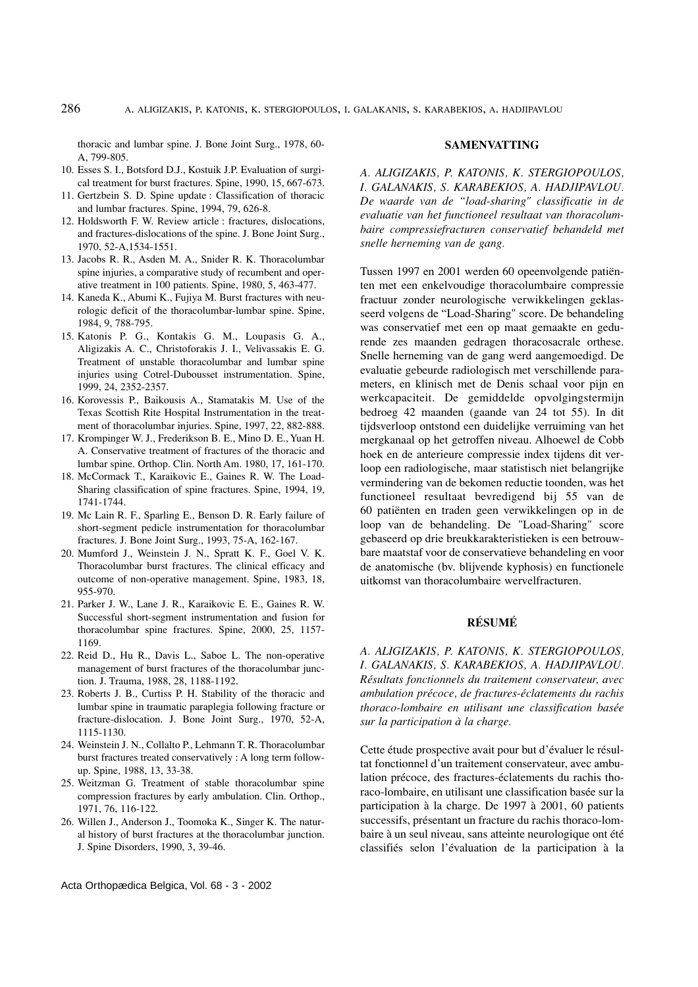thoracic and lumbar spine. J. Bone Joint Surg., 1978, 60- A, 799-805.

- 10. Esses S. I., Botsford D.J., Kostuik J.P. Evaluation of surgical treatment for burst fractures. Spine, 1990, 15, 667-673.
- 11. Gertzbein S. D. Spine update : Classification of thoracic and lumbar fractures. Spine, 1994, 79, 626-8.
- 12. Holdsworth F. W. Review article : fractures, dislocations, and fractures-dislocations of the spine. J. Bone Joint Surg., 1970, 52-A,1534-1551.
- 13. Jacobs R. R., Asden M. A., Snider R. K. Thoracolumbar spine injuries, a comparative study of recumbent and operative treatment in 100 patients. Spine, 1980, 5, 463-477.
- 14. Kaneda K., Abumi K., Fujiya M. Burst fractures with neurologic deficit of the thoracolumbar-lumbar spine. Spine, 1984, 9, 788-795.
- 15. Katonis P. G., Kontakis G. M., Loupasis G. A., Aligizakis A. C., Christoforakis J. I., Velivassakis E. G. Treatment of unstable thoracolumbar and lumbar spine injuries using Cotrel-Dubousset instrumentation. Spine, 1999, 24, 2352-2357.
- 16. Korovessis P., Baikousis A., Stamatakis M. Use of the Texas Scottish Rite Hospital Instrumentation in the treatment of thoracolumbar injuries. Spine, 1997, 22, 882-888.
- 17. Krompinger W. J., Frederikson B. E., Mino D. E., Yuan H. A. Conservative treatment of fractures of the thoracic and lumbar spine. Orthop. Clin. North Am. 1980, 17, 161-170.
- 18. McCormack T., Karaikovic E., Gaines R. W. The Load-Sharing classification of spine fractures. Spine, 1994, 19, 1741-1744.
- 19. Mc Lain R. F., Sparling E., Benson D. R. Early failure of short-segment pedicle instrumentation for thoracolumbar fractures. J. Bone Joint Surg., 1993, 75-A, 162-167.
- 20. Mumford J., Weinstein J. N., Spratt K. F., Goel V. K. Thoracolumbar burst fractures. The clinical efficacy and outcome of non-operative management. Spine, 1983, 18, 955-970.
- 21. Parker J. W., Lane J. R., Karaikovic E. E., Gaines R. W. Successful short-segment instrumentation and fusion for thoracolumbar spine fractures. Spine, 2000, 25, 1157- 1169.
- 22. Reid D., Hu R., Davis L., Saboe L. The non-operative management of burst fractures of the thoracolumbar junction. J. Trauma, 1988, 28, 1188-1192.
- 23. Roberts J. B., Curtiss P. H. Stability of the thoracic and lumbar spine in traumatic paraplegia following fracture or fracture-dislocation. J. Bone Joint Surg., 1970, 52-A, 1115-1130.
- 24. Weinstein J. N., Collalto P., Lehmann T. R. Thoracolumbar burst fractures treated conservatively : A long term followup. Spine, 1988, 13, 33-38.
- 25. Weitzman G. Treatment of stable thoracolumbar spine compression fractures by early ambulation. Clin. Orthop., 1971, 76, 116-122.
- 26. Willen J., Anderson J., Toomoka K., Singer K. The natural history of burst fractures at the thoracolumbar junction. J. Spine Disorders, 1990, 3, 39-46.

#### **SAMENVATTING**

*A. ALIGIZAKIS, P. KATONIS, K. STERGIOPOULOS, I. GALANAKIS, S. KARABEKIOS, A. HADJIPAVLOU. De waarde van de "load-sharing" classificatie in de evaluatie van het functioneel resultaat van thoracolumbaire compressiefracturen conservatief behandeld met snelle herneming van de gang.*

Tussen 1997 en 2001 werden 60 opeenvolgende patiënten met een enkelvoudige thoracolumbaire compressie fractuur zonder neurologische verwikkelingen geklasseerd volgens de "Load-Sharing" score. De behandeling was conservatief met een op maat gemaakte en gedurende zes maanden gedragen thoracosacrale orthese. Snelle herneming van de gang werd aangemoedigd. De evaluatie gebeurde radiologisch met verschillende parameters, en klinisch met de Denis schaal voor pijn en werkcapaciteit. De gemiddelde opvolgingstermijn bedroeg 42 maanden (gaande van 24 tot 55). In dit tijdsverloop ontstond een duidelijke verruiming van het mergkanaal op het getroffen niveau. Alhoewel de Cobb hoek en de anterieure compressie index tijdens dit verloop een radiologische, maar statistisch niet belangrijke vermindering van de bekomen reductie toonden, was het functioneel resultaat bevredigend bij 55 van de 60 patiënten en traden geen verwikkelingen op in de loop van de behandeling. De "Load-Sharing" score gebaseerd op drie breukkarakteristieken is een betrouwbare maatstaf voor de conservatieve behandeling en voor de anatomische (bv. blijvende kyphosis) en functionele uitkomst van thoracolumbaire wervelfracturen.

# **RÉSUMÉ**

*A. ALIGIZAKIS, P. KATONIS, K. STERGIOPOULOS, I. GALANAKIS, S. KARABEKIOS, A. HADJIPAVLOU. Résultats fonctionnels du traitement conservateur, avec ambulation précoce, de fractures-éclatements du rachis thoraco-lombaire en utilisant une classification basée sur la participation à la charge.*

Cette étude prospective avait pour but d'évaluer le résultat fonctionnel d'un traitement conservateur, avec ambulation précoce, des fractures-éclatements du rachis thoraco-lombaire, en utilisant une classification basée sur la participation à la charge. De 1997 à 2001, 60 patients successifs, présentant un fracture du rachis thoraco-lombaire à un seul niveau, sans atteinte neurologique ont été classifiés selon l'évaluation de la participation à la